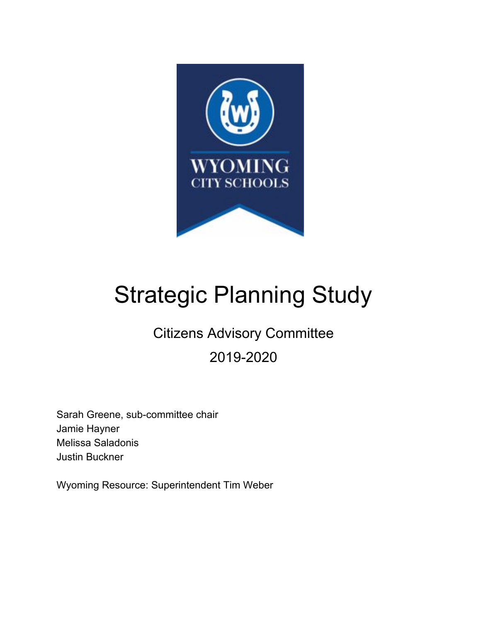

# Strategic Planning Study

## Citizens Advisory Committee

### 2019-2020

Sarah Greene, sub-committee chair Jamie Hayner Melissa Saladonis Justin Buckner

Wyoming Resource: Superintendent Tim Weber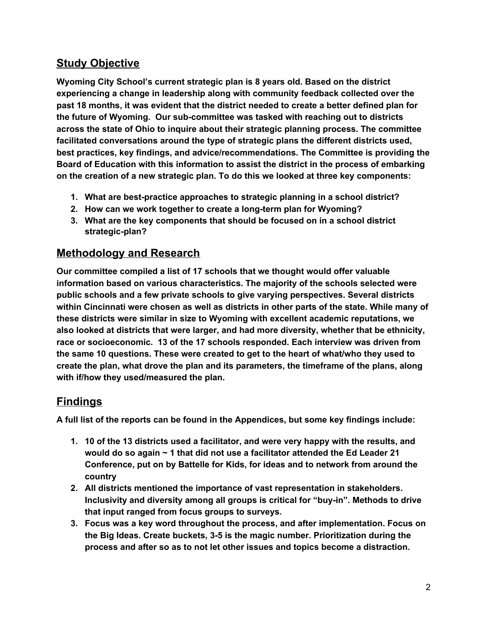#### **Study Objective**

**Wyoming City School's current strategic plan is 8 years old. Based on the district experiencing a change in leadership along with community feedback collected over the past 18 months, it was evident that the district needed to create a better defined plan for the future of Wyoming. Our sub-committee was tasked with reaching out to districts across the state of Ohio to inquire about their strategic planning process. The committee facilitated conversations around the type of strategic plans the different districts used, best practices, key findings, and advice/recommendations. The Committee is providing the Board of Education with this information to assist the district in the process of embarking on the creation of a new strategic plan. To do this we looked at three key components:**

- **1. What are best-practice approaches to strategic planning in a school district?**
- **2. How can we work together to create a long-term plan for Wyoming?**
- **3. What are the key components that should be focused on in a school district strategic-plan?**

#### **Methodology and Research**

**Our committee compiled a list of 17 schools that we thought would offer valuable information based on various characteristics. The majority of the schools selected were public schools and a few private schools to give varying perspectives. Several districts within Cincinnati were chosen as well as districts in other parts of the state. While many of these districts were similar in size to Wyoming with excellent academic reputations, we also looked at districts that were larger, and had more diversity, whether that be ethnicity, race or socioeconomic. 13 of the 17 schools responded. Each interview was driven from the same 10 questions. These were created to get to the heart of what/who they used to create the plan, what drove the plan and its parameters, the timeframe of the plans, along with if/how they used/measured the plan.**

#### **Findings**

**A full list of the reports can be found in the Appendices, but some key findings include:**

- **1. 10 of the 13 districts used a facilitator, and were very happy with the results, and would do so again ~ 1 that did not use a facilitator attended the Ed Leader 21 Conference, put on by Battelle for Kids, for ideas and to network from around the country**
- **2. All districts mentioned the importance of vast representation in stakeholders. Inclusivity and diversity among all groups is critical for "buy-in". Methods to drive that input ranged from focus groups to surveys.**
- **3. Focus was a key word throughout the process, and after implementation. Focus on the Big Ideas. Create buckets, 3-5 is the magic number. Prioritization during the process and after so as to not let other issues and topics become a distraction.**